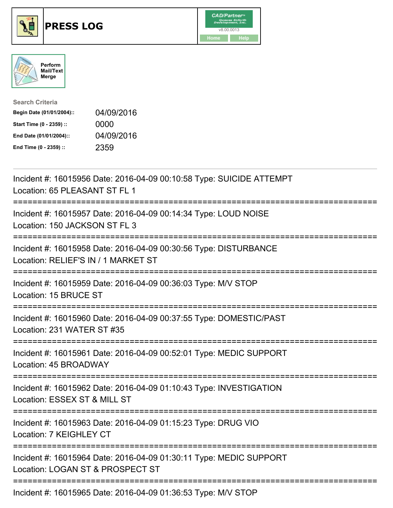





| <b>Search Criteria</b>    |            |
|---------------------------|------------|
| Begin Date (01/01/2004):: | 04/09/2016 |
| Start Time (0 - 2359) ::  | 0000       |
| End Date (01/01/2004)::   | 04/09/2016 |
| End Time (0 - 2359) ::    | 2359       |

| Incident #: 16015956 Date: 2016-04-09 00:10:58 Type: SUICIDE ATTEMPT<br>Location: 65 PLEASANT ST FL 1                                                |
|------------------------------------------------------------------------------------------------------------------------------------------------------|
| Incident #: 16015957 Date: 2016-04-09 00:14:34 Type: LOUD NOISE<br>Location: 150 JACKSON ST FL 3                                                     |
| Incident #: 16015958 Date: 2016-04-09 00:30:56 Type: DISTURBANCE<br>Location: RELIEF'S IN / 1 MARKET ST<br>==========<br>=========================== |
| Incident #: 16015959 Date: 2016-04-09 00:36:03 Type: M/V STOP<br>Location: 15 BRUCE ST<br>===========                                                |
| Incident #: 16015960 Date: 2016-04-09 00:37:55 Type: DOMESTIC/PAST<br>Location: 231 WATER ST #35                                                     |
| Incident #: 16015961 Date: 2016-04-09 00:52:01 Type: MEDIC SUPPORT<br>Location: 45 BROADWAY                                                          |
| Incident #: 16015962 Date: 2016-04-09 01:10:43 Type: INVESTIGATION<br>Location: ESSEX ST & MILL ST                                                   |
| Incident #: 16015963 Date: 2016-04-09 01:15:23 Type: DRUG VIO<br>Location: 7 KEIGHLEY CT                                                             |
| Incident #: 16015964 Date: 2016-04-09 01:30:11 Type: MEDIC SUPPORT<br>Location: LOGAN ST & PROSPECT ST                                               |
| --------------------------<br>Incident #: 16015965 Date: 2016-04-09 01:36:53 Type: M/V STOP                                                          |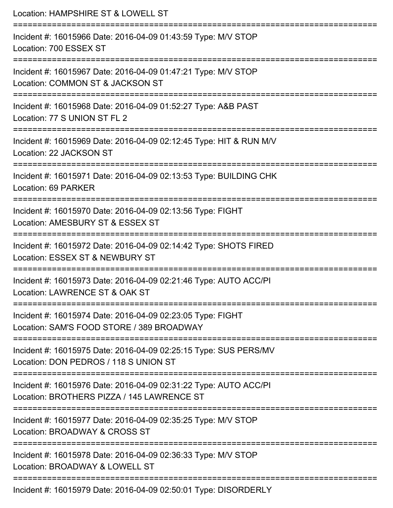| Location: HAMPSHIRE ST & LOWELL ST                                                                             |
|----------------------------------------------------------------------------------------------------------------|
| Incident #: 16015966 Date: 2016-04-09 01:43:59 Type: M/V STOP<br>Location: 700 ESSEX ST                        |
| Incident #: 16015967 Date: 2016-04-09 01:47:21 Type: M/V STOP<br>Location: COMMON ST & JACKSON ST              |
| Incident #: 16015968 Date: 2016-04-09 01:52:27 Type: A&B PAST<br>Location: 77 S UNION ST FL 2                  |
| Incident #: 16015969 Date: 2016-04-09 02:12:45 Type: HIT & RUN M/V<br>Location: 22 JACKSON ST                  |
| Incident #: 16015971 Date: 2016-04-09 02:13:53 Type: BUILDING CHK<br>Location: 69 PARKER                       |
| Incident #: 16015970 Date: 2016-04-09 02:13:56 Type: FIGHT<br>Location: AMESBURY ST & ESSEX ST                 |
| Incident #: 16015972 Date: 2016-04-09 02:14:42 Type: SHOTS FIRED<br>Location: ESSEX ST & NEWBURY ST            |
| Incident #: 16015973 Date: 2016-04-09 02:21:46 Type: AUTO ACC/PI<br>Location: LAWRENCE ST & OAK ST             |
| Incident #: 16015974 Date: 2016-04-09 02:23:05 Type: FIGHT<br>Location: SAM'S FOOD STORE / 389 BROADWAY        |
| Incident #: 16015975 Date: 2016-04-09 02:25:15 Type: SUS PERS/MV<br>Location: DON PEDROS / 118 S UNION ST      |
| Incident #: 16015976 Date: 2016-04-09 02:31:22 Type: AUTO ACC/PI<br>Location: BROTHERS PIZZA / 145 LAWRENCE ST |
| Incident #: 16015977 Date: 2016-04-09 02:35:25 Type: M/V STOP<br>Location: BROADWAY & CROSS ST                 |
| Incident #: 16015978 Date: 2016-04-09 02:36:33 Type: M/V STOP<br>Location: BROADWAY & LOWELL ST                |
| Incident #: 16015979 Date: 2016-04-09 02:50:01 Type: DISORDERLY                                                |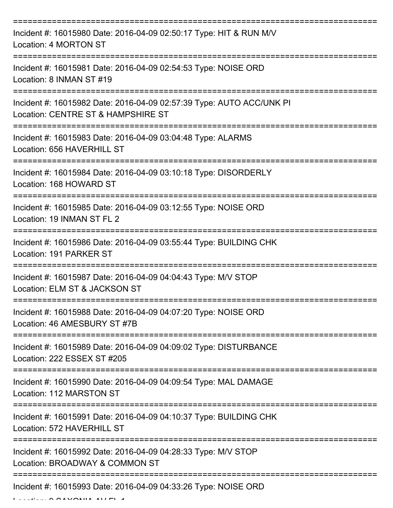| Incident #: 16015980 Date: 2016-04-09 02:50:17 Type: HIT & RUN M/V<br>Location: 4 MORTON ST                |
|------------------------------------------------------------------------------------------------------------|
| Incident #: 16015981 Date: 2016-04-09 02:54:53 Type: NOISE ORD<br>Location: 8 INMAN ST #19                 |
| Incident #: 16015982 Date: 2016-04-09 02:57:39 Type: AUTO ACC/UNK PI<br>Location: CENTRE ST & HAMPSHIRE ST |
| Incident #: 16015983 Date: 2016-04-09 03:04:48 Type: ALARMS<br>Location: 656 HAVERHILL ST                  |
| Incident #: 16015984 Date: 2016-04-09 03:10:18 Type: DISORDERLY<br>Location: 168 HOWARD ST                 |
| Incident #: 16015985 Date: 2016-04-09 03:12:55 Type: NOISE ORD<br>Location: 19 INMAN ST FL 2               |
| Incident #: 16015986 Date: 2016-04-09 03:55:44 Type: BUILDING CHK<br>Location: 191 PARKER ST               |
| Incident #: 16015987 Date: 2016-04-09 04:04:43 Type: M/V STOP<br>Location: ELM ST & JACKSON ST             |
| Incident #: 16015988 Date: 2016-04-09 04:07:20 Type: NOISE ORD<br>Location: 46 AMESBURY ST #7B             |
| Incident #: 16015989 Date: 2016-04-09 04:09:02 Type: DISTURBANCE<br>Location: 222 ESSEX ST #205            |
| Incident #: 16015990 Date: 2016-04-09 04:09:54 Type: MAL DAMAGE<br>Location: 112 MARSTON ST                |
| Incident #: 16015991 Date: 2016-04-09 04:10:37 Type: BUILDING CHK<br>Location: 572 HAVERHILL ST            |
| Incident #: 16015992 Date: 2016-04-09 04:28:33 Type: M/V STOP<br>Location: BROADWAY & COMMON ST            |
| Incident #: 16015993 Date: 2016-04-09 04:33:26 Type: NOISE ORD                                             |

Location: 9 SAXONIA AV FL 4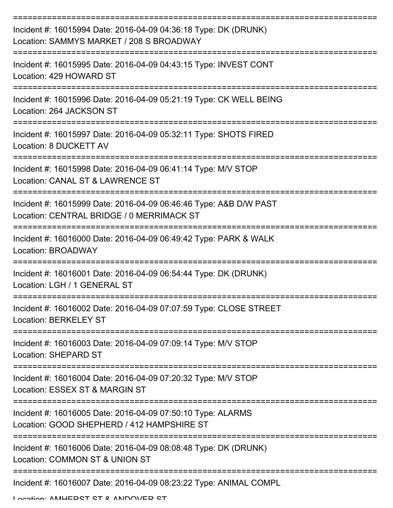| Incident #: 16015994 Date: 2016-04-09 04:36:18 Type: DK (DRUNK)<br>Location: SAMMYS MARKET / 208 S BROADWAY    |
|----------------------------------------------------------------------------------------------------------------|
| Incident #: 16015995 Date: 2016-04-09 04:43:15 Type: INVEST CONT<br>Location: 429 HOWARD ST                    |
| Incident #: 16015996 Date: 2016-04-09 05:21:19 Type: CK WELL BEING<br>Location: 264 JACKSON ST                 |
| Incident #: 16015997 Date: 2016-04-09 05:32:11 Type: SHOTS FIRED<br>Location: 8 DUCKETT AV                     |
| Incident #: 16015998 Date: 2016-04-09 06:41:14 Type: M/V STOP<br>Location: CANAL ST & LAWRENCE ST              |
| Incident #: 16015999 Date: 2016-04-09 06:46:46 Type: A&B D/W PAST<br>Location: CENTRAL BRIDGE / 0 MERRIMACK ST |
| Incident #: 16016000 Date: 2016-04-09 06:49:42 Type: PARK & WALK<br>Location: BROADWAY                         |
| Incident #: 16016001 Date: 2016-04-09 06:54:44 Type: DK (DRUNK)<br>Location: LGH / 1 GENERAL ST                |
| Incident #: 16016002 Date: 2016-04-09 07:07:59 Type: CLOSE STREET<br><b>Location: BERKELEY ST</b>              |
| Incident #: 16016003 Date: 2016-04-09 07:09:14 Type: M/V STOP<br><b>Location: SHEPARD ST</b>                   |
| Incident #: 16016004 Date: 2016-04-09 07:20:32 Type: M/V STOP<br>Location: ESSEX ST & MARGIN ST                |
| Incident #: 16016005 Date: 2016-04-09 07:50:10 Type: ALARMS<br>Location: GOOD SHEPHERD / 412 HAMPSHIRE ST      |
| Incident #: 16016006 Date: 2016-04-09 08:08:48 Type: DK (DRUNK)<br>Location: COMMON ST & UNION ST              |
| Incident #: 16016007 Date: 2016-04-09 08:23:22 Type: ANIMAL COMPL                                              |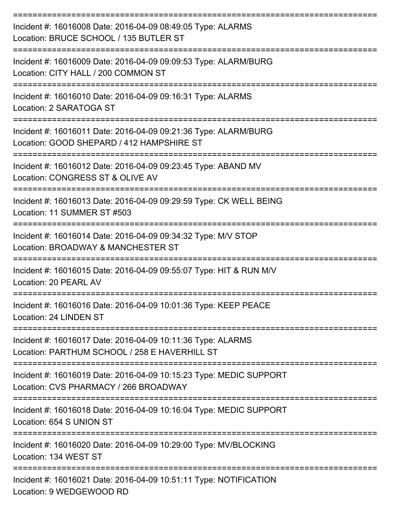| Incident #: 16016008 Date: 2016-04-09 08:49:05 Type: ALARMS<br>Location: BRUCE SCHOOL / 135 BUTLER ST             |
|-------------------------------------------------------------------------------------------------------------------|
| Incident #: 16016009 Date: 2016-04-09 09:09:53 Type: ALARM/BURG<br>Location: CITY HALL / 200 COMMON ST            |
| Incident #: 16016010 Date: 2016-04-09 09:16:31 Type: ALARMS<br>Location: 2 SARATOGA ST                            |
| Incident #: 16016011 Date: 2016-04-09 09:21:36 Type: ALARM/BURG<br>Location: GOOD SHEPARD / 412 HAMPSHIRE ST      |
| Incident #: 16016012 Date: 2016-04-09 09:23:45 Type: ABAND MV<br>Location: CONGRESS ST & OLIVE AV                 |
| Incident #: 16016013 Date: 2016-04-09 09:29:59 Type: CK WELL BEING<br>Location: 11 SUMMER ST #503                 |
| Incident #: 16016014 Date: 2016-04-09 09:34:32 Type: M/V STOP<br>Location: BROADWAY & MANCHESTER ST               |
| :==============<br>Incident #: 16016015 Date: 2016-04-09 09:55:07 Type: HIT & RUN M/V<br>Location: 20 PEARL AV    |
| Incident #: 16016016 Date: 2016-04-09 10:01:36 Type: KEEP PEACE<br>Location: 24 LINDEN ST<br>==================== |
| Incident #: 16016017 Date: 2016-04-09 10:11:36 Type: ALARMS<br>Location: PARTHUM SCHOOL / 258 E HAVERHILL ST      |
| Incident #: 16016019 Date: 2016-04-09 10:15:23 Type: MEDIC SUPPORT<br>Location: CVS PHARMACY / 266 BROADWAY       |
| Incident #: 16016018 Date: 2016-04-09 10:16:04 Type: MEDIC SUPPORT<br>Location: 654 S UNION ST                    |
| Incident #: 16016020 Date: 2016-04-09 10:29:00 Type: MV/BLOCKING<br>Location: 134 WEST ST                         |
| Incident #: 16016021 Date: 2016-04-09 10:51:11 Type: NOTIFICATION<br>Location: 9 WEDGEWOOD RD                     |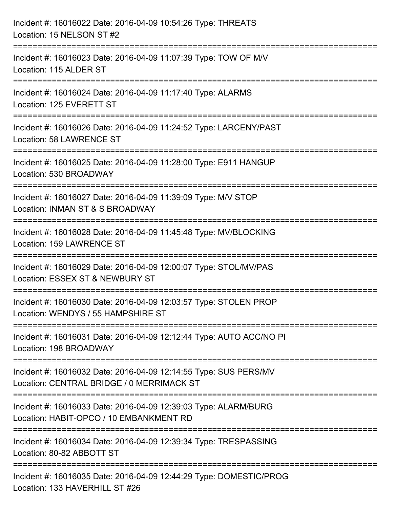| Incident #: 16016022 Date: 2016-04-09 10:54:26 Type: THREATS<br>Location: 15 NELSON ST #2                                  |
|----------------------------------------------------------------------------------------------------------------------------|
| Incident #: 16016023 Date: 2016-04-09 11:07:39 Type: TOW OF M/V<br>Location: 115 ALDER ST<br>:============================ |
| Incident #: 16016024 Date: 2016-04-09 11:17:40 Type: ALARMS<br>Location: 125 EVERETT ST                                    |
| Incident #: 16016026 Date: 2016-04-09 11:24:52 Type: LARCENY/PAST<br>Location: 58 LAWRENCE ST                              |
| Incident #: 16016025 Date: 2016-04-09 11:28:00 Type: E911 HANGUP<br>Location: 530 BROADWAY                                 |
| Incident #: 16016027 Date: 2016-04-09 11:39:09 Type: M/V STOP<br>Location: INMAN ST & S BROADWAY                           |
| =====================<br>Incident #: 16016028 Date: 2016-04-09 11:45:48 Type: MV/BLOCKING<br>Location: 159 LAWRENCE ST     |
| Incident #: 16016029 Date: 2016-04-09 12:00:07 Type: STOL/MV/PAS<br>Location: ESSEX ST & NEWBURY ST                        |
| Incident #: 16016030 Date: 2016-04-09 12:03:57 Type: STOLEN PROP<br>Location: WENDYS / 55 HAMPSHIRE ST                     |
| Incident #: 16016031 Date: 2016-04-09 12:12:44 Type: AUTO ACC/NO PI<br>Location: 198 BROADWAY                              |
| Incident #: 16016032 Date: 2016-04-09 12:14:55 Type: SUS PERS/MV<br>Location: CENTRAL BRIDGE / 0 MERRIMACK ST              |
| Incident #: 16016033 Date: 2016-04-09 12:39:03 Type: ALARM/BURG<br>Location: HABIT-OPCO / 10 EMBANKMENT RD                 |
| Incident #: 16016034 Date: 2016-04-09 12:39:34 Type: TRESPASSING<br>Location: 80-82 ABBOTT ST                              |
| Incident #: 16016035 Date: 2016-04-09 12:44:29 Type: DOMESTIC/PROG<br>Location: 133 HAVERHILL ST #26                       |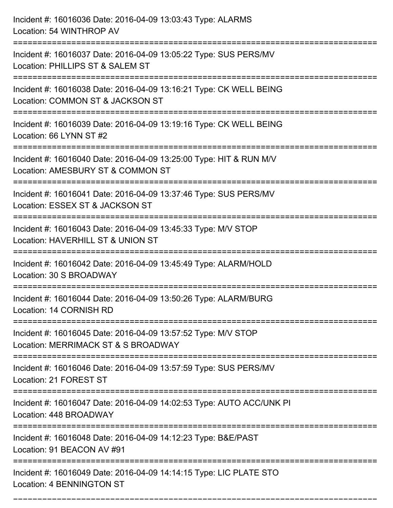| Incident #: 16016036 Date: 2016-04-09 13:03:43 Type: ALARMS<br>Location: 54 WINTHROP AV                                                     |
|---------------------------------------------------------------------------------------------------------------------------------------------|
| Incident #: 16016037 Date: 2016-04-09 13:05:22 Type: SUS PERS/MV<br>Location: PHILLIPS ST & SALEM ST                                        |
| Incident #: 16016038 Date: 2016-04-09 13:16:21 Type: CK WELL BEING<br>Location: COMMON ST & JACKSON ST<br>:====================             |
| Incident #: 16016039 Date: 2016-04-09 13:19:16 Type: CK WELL BEING<br>Location: 66 LYNN ST #2                                               |
| Incident #: 16016040 Date: 2016-04-09 13:25:00 Type: HIT & RUN M/V<br>Location: AMESBURY ST & COMMON ST<br>:============================    |
| Incident #: 16016041 Date: 2016-04-09 13:37:46 Type: SUS PERS/MV<br>Location: ESSEX ST & JACKSON ST                                         |
| Incident #: 16016043 Date: 2016-04-09 13:45:33 Type: M/V STOP<br>Location: HAVERHILL ST & UNION ST                                          |
| Incident #: 16016042 Date: 2016-04-09 13:45:49 Type: ALARM/HOLD<br>Location: 30 S BROADWAY                                                  |
| Incident #: 16016044 Date: 2016-04-09 13:50:26 Type: ALARM/BURG<br>Location: 14 CORNISH RD                                                  |
| Incident #: 16016045 Date: 2016-04-09 13:57:52 Type: M/V STOP<br>Location: MERRIMACK ST & S BROADWAY<br>=================================== |
| Incident #: 16016046 Date: 2016-04-09 13:57:59 Type: SUS PERS/MV<br>Location: 21 FOREST ST                                                  |
| Incident #: 16016047 Date: 2016-04-09 14:02:53 Type: AUTO ACC/UNK PI<br>Location: 448 BROADWAY                                              |
| Incident #: 16016048 Date: 2016-04-09 14:12:23 Type: B&E/PAST<br>Location: 91 BEACON AV #91<br>-----------------------------------          |
| Incident #: 16016049 Date: 2016-04-09 14:14:15 Type: LIC PLATE STO<br><b>Location: 4 BENNINGTON ST</b>                                      |

===========================================================================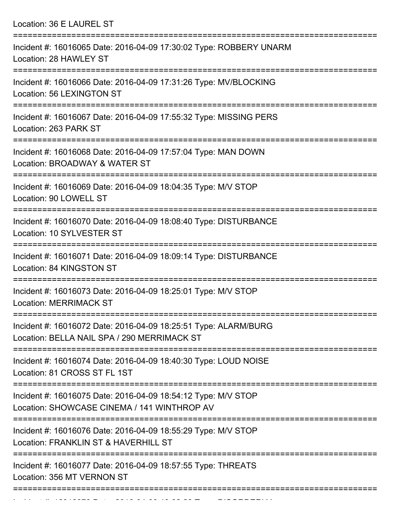Location: 36 E LAUREL ST

| Incident #: 16016065 Date: 2016-04-09 17:30:02 Type: ROBBERY UNARM<br>Location: 28 HAWLEY ST                   |
|----------------------------------------------------------------------------------------------------------------|
| Incident #: 16016066 Date: 2016-04-09 17:31:26 Type: MV/BLOCKING<br>Location: 56 LEXINGTON ST                  |
| Incident #: 16016067 Date: 2016-04-09 17:55:32 Type: MISSING PERS<br>Location: 263 PARK ST<br>----------       |
| Incident #: 16016068 Date: 2016-04-09 17:57:04 Type: MAN DOWN<br>Location: BROADWAY & WATER ST                 |
| Incident #: 16016069 Date: 2016-04-09 18:04:35 Type: M/V STOP<br>Location: 90 LOWELL ST                        |
| Incident #: 16016070 Date: 2016-04-09 18:08:40 Type: DISTURBANCE<br>Location: 10 SYLVESTER ST                  |
| Incident #: 16016071 Date: 2016-04-09 18:09:14 Type: DISTURBANCE<br>Location: 84 KINGSTON ST                   |
| Incident #: 16016073 Date: 2016-04-09 18:25:01 Type: M/V STOP<br><b>Location: MERRIMACK ST</b>                 |
| Incident #: 16016072 Date: 2016-04-09 18:25:51 Type: ALARM/BURG<br>Location: BELLA NAIL SPA / 290 MERRIMACK ST |
| Incident #: 16016074 Date: 2016-04-09 18:40:30 Type: LOUD NOISE<br>Location: 81 CROSS ST FL 1ST                |
| Incident #: 16016075 Date: 2016-04-09 18:54:12 Type: M/V STOP<br>Location: SHOWCASE CINEMA / 141 WINTHROP AV   |
| Incident #: 16016076 Date: 2016-04-09 18:55:29 Type: M/V STOP<br>Location: FRANKLIN ST & HAVERHILL ST          |
| Incident #: 16016077 Date: 2016-04-09 18:57:55 Type: THREATS<br>Location: 356 MT VERNON ST                     |
|                                                                                                                |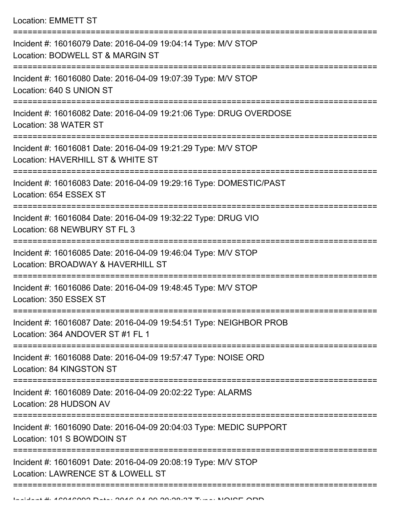Location: EMMETT ST

| Incident #: 16016079 Date: 2016-04-09 19:04:14 Type: M/V STOP<br>Location: BODWELL ST & MARGIN ST      |
|--------------------------------------------------------------------------------------------------------|
| Incident #: 16016080 Date: 2016-04-09 19:07:39 Type: M/V STOP<br>Location: 640 S UNION ST              |
| Incident #: 16016082 Date: 2016-04-09 19:21:06 Type: DRUG OVERDOSE<br>Location: 38 WATER ST            |
| Incident #: 16016081 Date: 2016-04-09 19:21:29 Type: M/V STOP<br>Location: HAVERHILL ST & WHITE ST     |
| Incident #: 16016083 Date: 2016-04-09 19:29:16 Type: DOMESTIC/PAST<br>Location: 654 ESSEX ST           |
| Incident #: 16016084 Date: 2016-04-09 19:32:22 Type: DRUG VIO<br>Location: 68 NEWBURY ST FL 3          |
| Incident #: 16016085 Date: 2016-04-09 19:46:04 Type: M/V STOP<br>Location: BROADWAY & HAVERHILL ST     |
| Incident #: 16016086 Date: 2016-04-09 19:48:45 Type: M/V STOP<br>Location: 350 ESSEX ST                |
| Incident #: 16016087 Date: 2016-04-09 19:54:51 Type: NEIGHBOR PROB<br>Location: 364 ANDOVER ST #1 FL 1 |
| Incident #: 16016088 Date: 2016-04-09 19:57:47 Type: NOISE ORD<br>Location: 84 KINGSTON ST             |
| Incident #: 16016089 Date: 2016-04-09 20:02:22 Type: ALARMS<br>Location: 28 HUDSON AV                  |
| Incident #: 16016090 Date: 2016-04-09 20:04:03 Type: MEDIC SUPPORT<br>Location: 101 S BOWDOIN ST       |
| Incident #: 16016091 Date: 2016-04-09 20:08:19 Type: M/V STOP<br>Location: LAWRENCE ST & LOWELL ST     |
|                                                                                                        |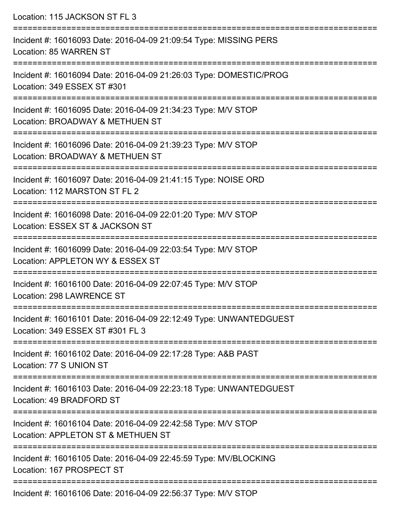| Location: 115 JACKSON ST FL 3                                                                          |
|--------------------------------------------------------------------------------------------------------|
| Incident #: 16016093 Date: 2016-04-09 21:09:54 Type: MISSING PERS<br>Location: 85 WARREN ST            |
| Incident #: 16016094 Date: 2016-04-09 21:26:03 Type: DOMESTIC/PROG<br>Location: 349 ESSEX ST #301      |
| Incident #: 16016095 Date: 2016-04-09 21:34:23 Type: M/V STOP<br>Location: BROADWAY & METHUEN ST       |
| Incident #: 16016096 Date: 2016-04-09 21:39:23 Type: M/V STOP<br>Location: BROADWAY & METHUEN ST       |
| Incident #: 16016097 Date: 2016-04-09 21:41:15 Type: NOISE ORD<br>Location: 112 MARSTON ST FL 2        |
| Incident #: 16016098 Date: 2016-04-09 22:01:20 Type: M/V STOP<br>Location: ESSEX ST & JACKSON ST       |
| Incident #: 16016099 Date: 2016-04-09 22:03:54 Type: M/V STOP<br>Location: APPLETON WY & ESSEX ST      |
| Incident #: 16016100 Date: 2016-04-09 22:07:45 Type: M/V STOP<br>Location: 298 LAWRENCE ST             |
| Incident #: 16016101 Date: 2016-04-09 22:12:49 Type: UNWANTEDGUEST<br>Location: 349 ESSEX ST #301 FL 3 |
| Incident #: 16016102 Date: 2016-04-09 22:17:28 Type: A&B PAST<br>Location: 77 S UNION ST               |
| Incident #: 16016103 Date: 2016-04-09 22:23:18 Type: UNWANTEDGUEST<br>Location: 49 BRADFORD ST         |
| Incident #: 16016104 Date: 2016-04-09 22:42:58 Type: M/V STOP<br>Location: APPLETON ST & METHUEN ST    |
| Incident #: 16016105 Date: 2016-04-09 22:45:59 Type: MV/BLOCKING<br>Location: 167 PROSPECT ST          |
| Incident #: 16016106 Date: 2016 04:00 22:56:27 Type: MAI STOD                                          |

Incident #: 16016106 Date: 2016-04-09 22:56:37 Type: M/V STOP